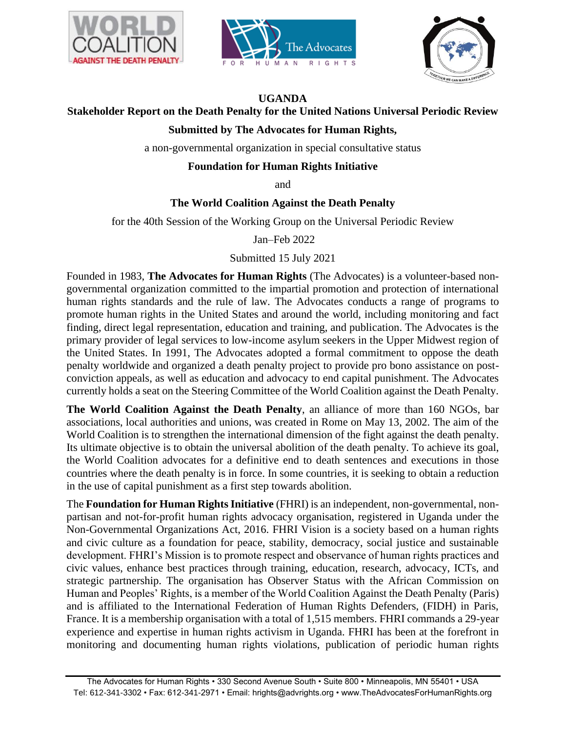





## **UGANDA**

# **Stakeholder Report on the Death Penalty for the United Nations Universal Periodic Review**

# **Submitted by The Advocates for Human Rights,**

a non-governmental organization in special consultative status

# **Foundation for Human Rights Initiative**

and

## **The World Coalition Against the Death Penalty**

for the 40th Session of the Working Group on the Universal Periodic Review

Jan–Feb 2022

Submitted 15 July 2021

Founded in 1983, **The Advocates for Human Rights** (The Advocates) is a volunteer-based nongovernmental organization committed to the impartial promotion and protection of international human rights standards and the rule of law. The Advocates conducts a range of programs to promote human rights in the United States and around the world, including monitoring and fact finding, direct legal representation, education and training, and publication. The Advocates is the primary provider of legal services to low-income asylum seekers in the Upper Midwest region of the United States. In 1991, The Advocates adopted a formal commitment to oppose the death penalty worldwide and organized a death penalty project to provide pro bono assistance on postconviction appeals, as well as education and advocacy to end capital punishment. The Advocates currently holds a seat on the Steering Committee of the World Coalition against the Death Penalty.

**The World Coalition Against the Death Penalty**, an alliance of more than 160 NGOs, bar associations, local authorities and unions, was created in Rome on May 13, 2002. The aim of the World Coalition is to strengthen the international dimension of the fight against the death penalty. Its ultimate objective is to obtain the universal abolition of the death penalty. To achieve its goal, the World Coalition advocates for a definitive end to death sentences and executions in those countries where the death penalty is in force. In some countries, it is seeking to obtain a reduction in the use of capital punishment as a first step towards abolition.

The **Foundation for Human Rights Initiative** (FHRI) is an independent, non-governmental, nonpartisan and not-for-profit human rights advocacy organisation, registered in Uganda under the Non-Governmental Organizations Act, 2016. FHRI Vision is a society based on a human rights and civic culture as a foundation for peace, stability, democracy, social justice and sustainable development. FHRI's Mission is to promote respect and observance of human rights practices and civic values, enhance best practices through training, education, research, advocacy, ICTs, and strategic partnership. The organisation has Observer Status with the African Commission on Human and Peoples' Rights, is a member of the World Coalition Against the Death Penalty (Paris) and is affiliated to the International Federation of Human Rights Defenders, (FIDH) in Paris, France. It is a membership organisation with a total of 1,515 members. FHRI commands a 29-year experience and expertise in human rights activism in Uganda. FHRI has been at the forefront in monitoring and documenting human rights violations, publication of periodic human rights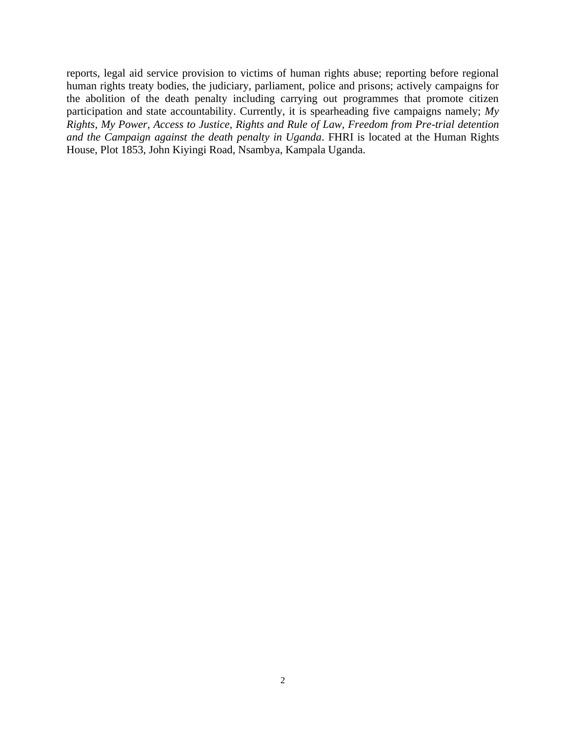reports, legal aid service provision to victims of human rights abuse; reporting before regional human rights treaty bodies, the judiciary, parliament, police and prisons; actively campaigns for the abolition of the death penalty including carrying out programmes that promote citizen participation and state accountability. Currently, it is spearheading five campaigns namely; *My Rights, My Power, Access to Justice, Rights and Rule of Law, Freedom from Pre-trial detention and the Campaign against the death penalty in Uganda*. FHRI is located at the Human Rights House, Plot 1853, John Kiyingi Road, Nsambya, Kampala Uganda.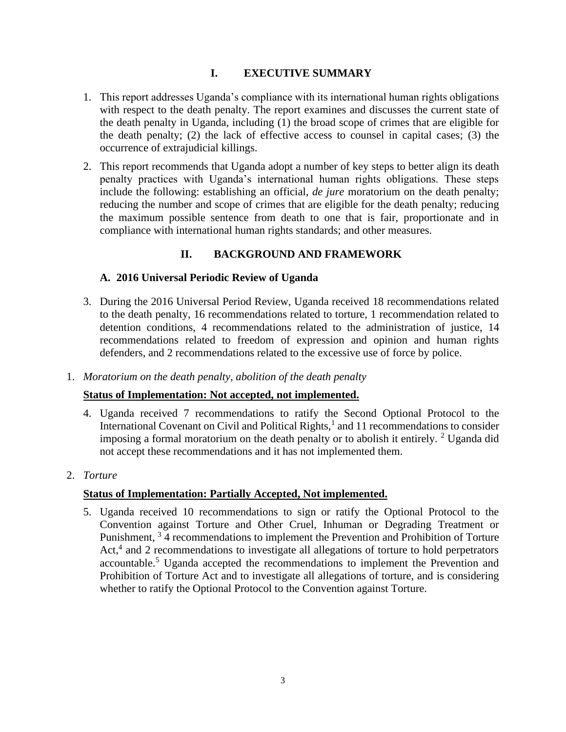# **I. EXECUTIVE SUMMARY**

- 1. This report addresses Uganda's compliance with its international human rights obligations with respect to the death penalty. The report examines and discusses the current state of the death penalty in Uganda, including (1) the broad scope of crimes that are eligible for the death penalty; (2) the lack of effective access to counsel in capital cases; (3) the occurrence of extrajudicial killings.
- 2. This report recommends that Uganda adopt a number of key steps to better align its death penalty practices with Uganda's international human rights obligations. These steps include the following: establishing an official, *de jure* moratorium on the death penalty; reducing the number and scope of crimes that are eligible for the death penalty; reducing the maximum possible sentence from death to one that is fair, proportionate and in compliance with international human rights standards; and other measures.

# **II. BACKGROUND AND FRAMEWORK**

# **A. 2016 Universal Periodic Review of Uganda**

- 3. During the 2016 Universal Period Review, Uganda received 18 recommendations related to the death penalty, 16 recommendations related to torture, 1 recommendation related to detention conditions, 4 recommendations related to the administration of justice, 14 recommendations related to freedom of expression and opinion and human rights defenders, and 2 recommendations related to the excessive use of force by police.
- 1. *Moratorium on the death penalty, abolition of the death penalty*

# **Status of Implementation: Not accepted, not implemented.**

- 4. Uganda received 7 recommendations to ratify the Second Optional Protocol to the International Covenant on Civil and Political Rights, $<sup>1</sup>$  and 11 recommendations to consider</sup> imposing a formal moratorium on the death penalty or to abolish it entirely.  $2 \text{ Uganda did}$ not accept these recommendations and it has not implemented them.
- 2. *Torture*

# **Status of Implementation: Partially Accepted, Not implemented.**

5. Uganda received 10 recommendations to sign or ratify the Optional Protocol to the Convention against Torture and Other Cruel, Inhuman or Degrading Treatment or Punishment, <sup>3</sup> 4 recommendations to implement the Prevention and Prohibition of Torture Act,<sup>4</sup> and 2 recommendations to investigate all allegations of torture to hold perpetrators accountable.<sup>5</sup> Uganda accepted the recommendations to implement the Prevention and Prohibition of Torture Act and to investigate all allegations of torture, and is considering whether to ratify the Optional Protocol to the Convention against Torture.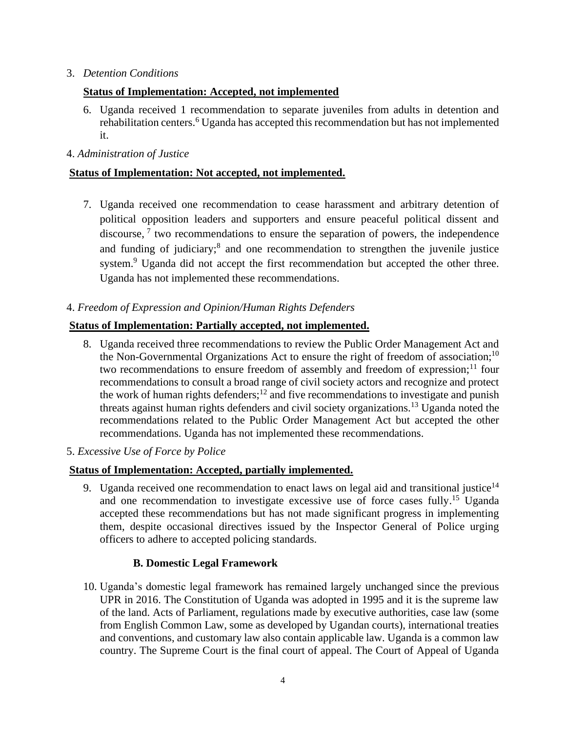## 3. *Detention Conditions*

# **Status of Implementation: Accepted, not implemented**

6. Uganda received 1 recommendation to separate juveniles from adults in detention and rehabilitation centers.<sup>6</sup> Uganda has accepted this recommendation but has not implemented it.

### 4. *Administration of Justice*

# **Status of Implementation: Not accepted, not implemented.**

7. Uganda received one recommendation to cease harassment and arbitrary detention of political opposition leaders and supporters and ensure peaceful political dissent and discourse,  $\frac{7}{1}$  two recommendations to ensure the separation of powers, the independence and funding of judiciary;<sup>8</sup> and one recommendation to strengthen the juvenile justice system.<sup>9</sup> Uganda did not accept the first recommendation but accepted the other three. Uganda has not implemented these recommendations.

## 4. *Freedom of Expression and Opinion/Human Rights Defenders*

## **Status of Implementation: Partially accepted, not implemented.**

8. Uganda received three recommendations to review the Public Order Management Act and the Non-Governmental Organizations Act to ensure the right of freedom of association;<sup>10</sup> two recommendations to ensure freedom of assembly and freedom of expression;<sup>11</sup> four recommendations to consult a broad range of civil society actors and recognize and protect the work of human rights defenders;<sup>12</sup> and five recommendations to investigate and punish threats against human rights defenders and civil society organizations.<sup>13</sup> Uganda noted the recommendations related to the Public Order Management Act but accepted the other recommendations. Uganda has not implemented these recommendations.

### 5. *Excessive Use of Force by Police*

# **Status of Implementation: Accepted, partially implemented.**

9. Uganda received one recommendation to enact laws on legal aid and transitional iustice<sup>14</sup> and one recommendation to investigate excessive use of force cases fully.<sup>15</sup> Uganda accepted these recommendations but has not made significant progress in implementing them, despite occasional directives issued by the Inspector General of Police urging officers to adhere to accepted policing standards.

# **B. Domestic Legal Framework**

10. Uganda's domestic legal framework has remained largely unchanged since the previous UPR in 2016. The Constitution of Uganda was adopted in 1995 and it is the supreme law of the land. Acts of Parliament, regulations made by executive authorities, case law (some from English Common Law, some as developed by Ugandan courts), international treaties and conventions, and customary law also contain applicable law. Uganda is a common law country. The Supreme Court is the final court of appeal. The Court of Appeal of Uganda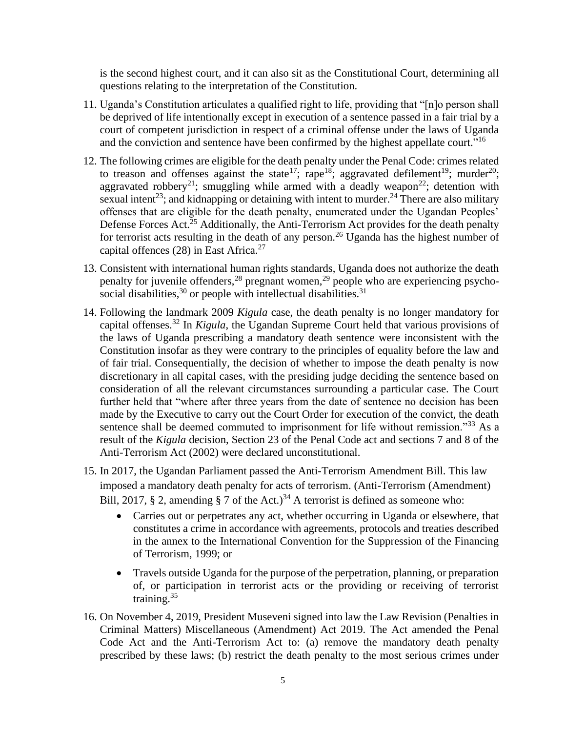is the second highest court, and it can also sit as the Constitutional Court, determining all questions relating to the interpretation of the Constitution.

- 11. Uganda's Constitution articulates a qualified right to life, providing that "[n]o person shall be deprived of life intentionally except in execution of a sentence passed in a fair trial by a court of competent jurisdiction in respect of a criminal offense under the laws of Uganda and the conviction and sentence have been confirmed by the highest appellate court."<sup>16</sup>
- <span id="page-4-0"></span>12. The following crimes are eligible for the death penalty under the Penal Code: crimes related to treason and offenses against the state<sup>17</sup>; rape<sup>18</sup>; aggravated defilement<sup>19</sup>; murder<sup>20</sup>; aggravated robbery<sup>21</sup>; smuggling while armed with a deadly weapon<sup>22</sup>; detention with sexual intent<sup>23</sup>; and kidnapping or detaining with intent to murder.<sup>24</sup> There are also military offenses that are eligible for the death penalty, enumerated under the Ugandan Peoples' Defense Forces Act.<sup>25</sup> Additionally, the Anti-Terrorism Act provides for the death penalty for terrorist acts resulting in the death of any person.<sup>26</sup> Uganda has the highest number of capital offences  $(28)$  in East Africa.<sup>27</sup>
- 13. Consistent with international human rights standards, Uganda does not authorize the death penalty for juvenile offenders,  $28$  pregnant women,  $29$  people who are experiencing psychosocial disabilities,  $30$  or people with intellectual disabilities.  $31$
- 14. Following the landmark 2009 *Kigula* case, the death penalty is no longer mandatory for capital offenses.<sup>32</sup> In *Kigula*, the Ugandan Supreme Court held that various provisions of the laws of Uganda prescribing a mandatory death sentence were inconsistent with the Constitution insofar as they were contrary to the principles of equality before the law and of fair trial. Consequentially, the decision of whether to impose the death penalty is now discretionary in all capital cases, with the presiding judge deciding the sentence based on consideration of all the relevant circumstances surrounding a particular case. The Court further held that "where after three years from the date of sentence no decision has been made by the Executive to carry out the Court Order for execution of the convict, the death sentence shall be deemed commuted to imprisonment for life without remission."<sup>33</sup> As a result of the *Kigula* decision, Section 23 of the Penal Code act and sections 7 and 8 of the Anti-Terrorism Act (2002) were declared unconstitutional.
- 15. In 2017, the Ugandan Parliament passed the Anti-Terrorism Amendment Bill. This law imposed a mandatory death penalty for acts of terrorism. (Anti-Terrorism (Amendment) Bill, 2017, § 2, amending § 7 of the Act.)<sup>34</sup> A terrorist is defined as someone who:
	- Carries out or perpetrates any act, whether occurring in Uganda or elsewhere, that constitutes a crime in accordance with agreements, protocols and treaties described in the annex to the International Convention for the Suppression of the Financing of Terrorism, 1999; or
	- Travels outside Uganda for the purpose of the perpetration, planning, or preparation of, or participation in terrorist acts or the providing or receiving of terrorist training.<sup>35</sup>
- 16. On November 4, 2019, President Museveni signed into law the Law Revision (Penalties in Criminal Matters) Miscellaneous (Amendment) Act 2019. The Act amended the Penal Code Act and the Anti-Terrorism Act to: (a) remove the mandatory death penalty prescribed by these laws; (b) restrict the death penalty to the most serious crimes under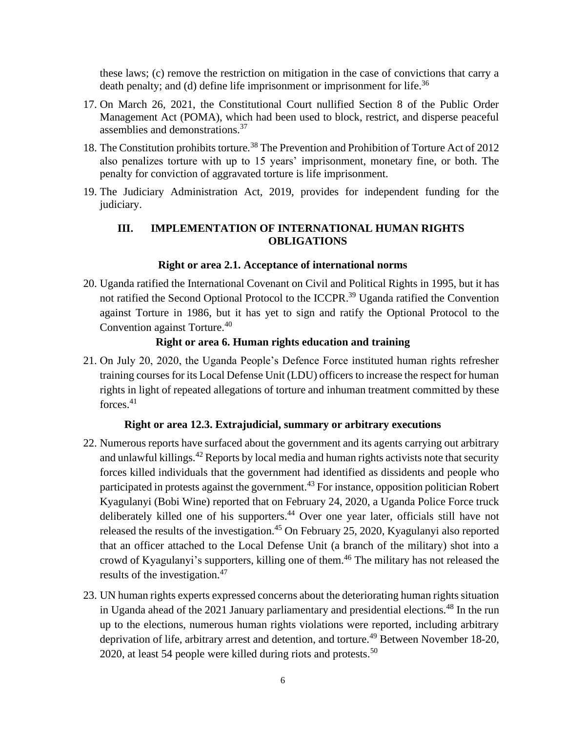these laws; (c) remove the restriction on mitigation in the case of convictions that carry a death penalty; and (d) define life imprisonment or imprisonment for life.<sup>36</sup>

- <span id="page-5-0"></span>17. On March 26, 2021, the Constitutional Court nullified Section 8 of the Public Order Management Act (POMA), which had been used to block, restrict, and disperse peaceful assemblies and demonstrations.<sup>37</sup>
- 18. The Constitution prohibits torture.<sup>38</sup> The Prevention and Prohibition of Torture Act of 2012 also penalizes torture with up to 15 years' imprisonment, monetary fine, or both. The penalty for conviction of aggravated torture is life imprisonment.
- 19. The Judiciary Administration Act, 2019, provides for independent funding for the judiciary.

# **III. IMPLEMENTATION OF INTERNATIONAL HUMAN RIGHTS OBLIGATIONS**

### **Right or area 2.1. Acceptance of international norms**

20. Uganda ratified the International Covenant on Civil and Political Rights in 1995, but it has not ratified the Second Optional Protocol to the ICCPR.<sup>39</sup> Uganda ratified the Convention against Torture in 1986, but it has yet to sign and ratify the Optional Protocol to the Convention against Torture.<sup>40</sup>

### **Right or area 6. Human rights education and training**

21. On July 20, 2020, the Uganda People's Defence Force instituted human rights refresher training courses for its Local Defense Unit (LDU) officers to increase the respect for human rights in light of repeated allegations of torture and inhuman treatment committed by these forces.<sup>41</sup>

#### **Right or area 12.3. Extrajudicial, summary or arbitrary executions**

- 22. Numerous reports have surfaced about the government and its agents carrying out arbitrary and unlawful killings.<sup>42</sup> Reports by local media and human rights activists note that security forces killed individuals that the government had identified as dissidents and people who participated in protests against the government.<sup>43</sup> For instance, opposition politician Robert Kyagulanyi (Bobi Wine) reported that on February 24, 2020, a Uganda Police Force truck deliberately killed one of his supporters. <sup>44</sup> Over one year later, officials still have not released the results of the investigation.<sup>45</sup> On February 25, 2020, Kyagulanyi also reported that an officer attached to the Local Defense Unit (a branch of the military) shot into a crowd of Kyagulanyi's supporters, killing one of them.<sup>46</sup> The military has not released the results of the investigation.<sup>47</sup>
- 23. UN human rights experts expressed concerns about the deteriorating human rights situation in Uganda ahead of the 2021 January parliamentary and presidential elections.<sup>48</sup> In the run up to the elections, numerous human rights violations were reported, including arbitrary deprivation of life, arbitrary arrest and detention, and torture.<sup>49</sup> Between November 18-20, 2020, at least 54 people were killed during riots and protests.<sup>50</sup>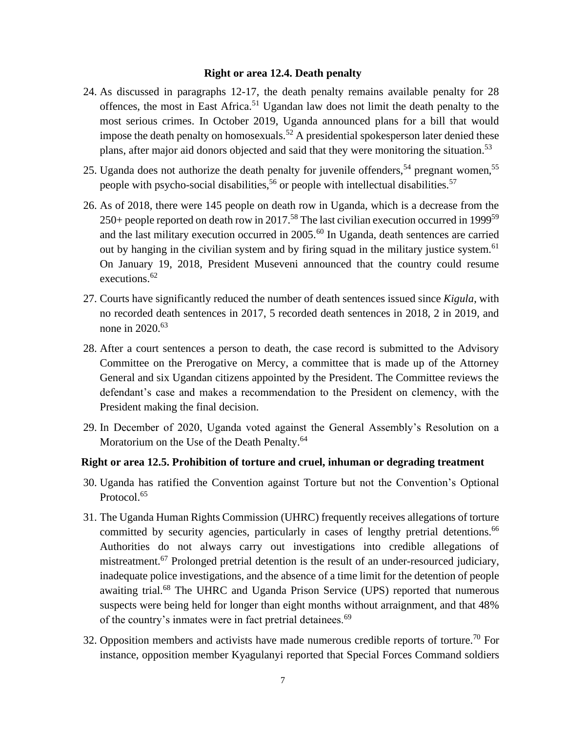#### **Right or area 12.4. Death penalty**

- 24. As discussed in paragraphs [12](#page-4-0)[-17,](#page-5-0) the death penalty remains available penalty for 28 offences, the most in East Africa.<sup>51</sup> Ugandan law does not limit the death penalty to the most serious crimes. In October 2019, Uganda announced plans for a bill that would impose the death penalty on homosexuals.<sup>52</sup> A presidential spokesperson later denied these plans, after major aid donors objected and said that they were monitoring the situation.<sup>53</sup>
- 25. Uganda does not authorize the death penalty for juvenile offenders,<sup>54</sup> pregnant women,<sup>55</sup> people with psycho-social disabilities,<sup>56</sup> or people with intellectual disabilities.<sup>57</sup>
- 26. As of 2018, there were 145 people on death row in Uganda, which is a decrease from the 250+ people reported on death row in 2017.<sup>58</sup> The last civilian execution occurred in 1999<sup>59</sup> and the last military execution occurred in 2005.<sup>60</sup> In Uganda, death sentences are carried out by hanging in the civilian system and by firing squad in the military justice system.<sup>61</sup> On January 19, 2018, President Museveni announced that the country could resume executions. 62
- 27. Courts have significantly reduced the number of death sentences issued since *Kigula*, with no recorded death sentences in 2017, 5 recorded death sentences in 2018, 2 in 2019, and none in  $2020$ .<sup>63</sup>
- 28. After a court sentences a person to death, the case record is submitted to the Advisory Committee on the Prerogative on Mercy, a committee that is made up of the Attorney General and six Ugandan citizens appointed by the President. The Committee reviews the defendant's case and makes a recommendation to the President on clemency, with the President making the final decision.
- 29. In December of 2020, Uganda voted against the General Assembly's Resolution on a Moratorium on the Use of the Death Penalty.<sup>64</sup>

### **Right or area 12.5. Prohibition of torture and cruel, inhuman or degrading treatment**

- 30. Uganda has ratified the Convention against Torture but not the Convention's Optional Protocol.<sup>65</sup>
- 31. The Uganda Human Rights Commission (UHRC) frequently receives allegations of torture committed by security agencies, particularly in cases of lengthy pretrial detentions.<sup>66</sup> Authorities do not always carry out investigations into credible allegations of mistreatment.<sup>67</sup> Prolonged pretrial detention is the result of an under-resourced judiciary, inadequate police investigations, and the absence of a time limit for the detention of people awaiting trial.<sup>68</sup> The UHRC and Uganda Prison Service (UPS) reported that numerous suspects were being held for longer than eight months without arraignment, and that 48% of the country's inmates were in fact pretrial detainees.<sup>69</sup>
- 32. Opposition members and activists have made numerous credible reports of torture.<sup>70</sup> For instance, opposition member Kyagulanyi reported that Special Forces Command soldiers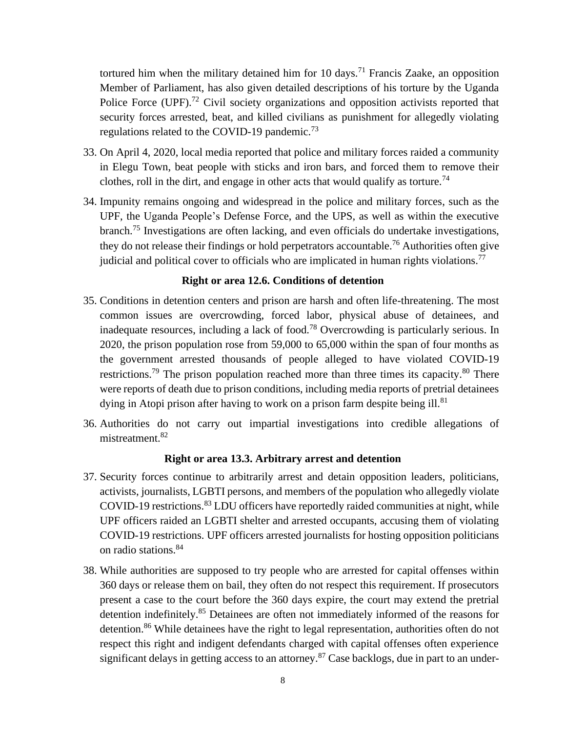tortured him when the military detained him for 10 days.<sup>71</sup> Francis Zaake, an opposition Member of Parliament, has also given detailed descriptions of his torture by the Uganda Police Force (UPF).<sup>72</sup> Civil society organizations and opposition activists reported that security forces arrested, beat, and killed civilians as punishment for allegedly violating regulations related to the COVID-19 pandemic.<sup>73</sup>

- 33. On April 4, 2020, local media reported that police and military forces raided a community in Elegu Town, beat people with sticks and iron bars, and forced them to remove their clothes, roll in the dirt, and engage in other acts that would qualify as torture.<sup>74</sup>
- 34. Impunity remains ongoing and widespread in the police and military forces, such as the UPF, the Uganda People's Defense Force, and the UPS, as well as within the executive branch.<sup>75</sup> Investigations are often lacking, and even officials do undertake investigations, they do not release their findings or hold perpetrators accountable.<sup>76</sup> Authorities often give judicial and political cover to officials who are implicated in human rights violations.<sup>77</sup>

# **Right or area 12.6. Conditions of detention**

- 35. Conditions in detention centers and prison are harsh and often life-threatening. The most common issues are overcrowding, forced labor, physical abuse of detainees, and inadequate resources, including a lack of food.<sup>78</sup> Overcrowding is particularly serious. In 2020, the prison population rose from 59,000 to 65,000 within the span of four months as the government arrested thousands of people alleged to have violated COVID-19 restrictions.<sup>79</sup> The prison population reached more than three times its capacity. $80$  There were reports of death due to prison conditions, including media reports of pretrial detainees dying in Atopi prison after having to work on a prison farm despite being ill.<sup>81</sup>
- 36. Authorities do not carry out impartial investigations into credible allegations of mistreatment.<sup>82</sup>

#### **Right or area 13.3. Arbitrary arrest and detention**

- 37. Security forces continue to arbitrarily arrest and detain opposition leaders, politicians, activists, journalists, LGBTI persons, and members of the population who allegedly violate COVID-19 restrictions.<sup>83</sup> LDU officers have reportedly raided communities at night, while UPF officers raided an LGBTI shelter and arrested occupants, accusing them of violating COVID-19 restrictions. UPF officers arrested journalists for hosting opposition politicians on radio stations.<sup>84</sup>
- 38. While authorities are supposed to try people who are arrested for capital offenses within 360 days or release them on bail, they often do not respect this requirement. If prosecutors present a case to the court before the 360 days expire, the court may extend the pretrial detention indefinitely.<sup>85</sup> Detainees are often not immediately informed of the reasons for detention.<sup>86</sup> While detainees have the right to legal representation, authorities often do not respect this right and indigent defendants charged with capital offenses often experience significant delays in getting access to an attorney.<sup>87</sup> Case backlogs, due in part to an under-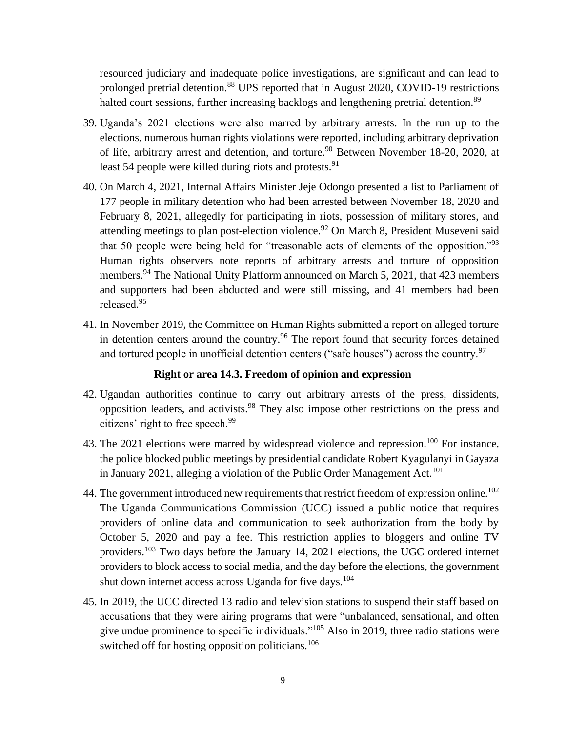resourced judiciary and inadequate police investigations, are significant and can lead to prolonged pretrial detention.<sup>88</sup> UPS reported that in August 2020, COVID-19 restrictions halted court sessions, further increasing backlogs and lengthening pretrial detention.<sup>89</sup>

- 39. Uganda's 2021 elections were also marred by arbitrary arrests. In the run up to the elections, numerous human rights violations were reported, including arbitrary deprivation of life, arbitrary arrest and detention, and torture.<sup>90</sup> Between November 18-20, 2020, at least 54 people were killed during riots and protests.<sup>91</sup>
- 40. On March 4, 2021, Internal Affairs Minister Jeje Odongo presented a list to Parliament of 177 people in military detention who had been arrested between November 18, 2020 and February 8, 2021, allegedly for participating in riots, possession of military stores, and attending meetings to plan post-election violence.<sup>92</sup> On March 8, President Museveni said that 50 people were being held for "treasonable acts of elements of the opposition."<sup>93</sup> Human rights observers note reports of arbitrary arrests and torture of opposition members.<sup>94</sup> The National Unity Platform announced on March 5, 2021, that 423 members and supporters had been abducted and were still missing, and 41 members had been released.<sup>95</sup>
- 41. In November 2019, the Committee on Human Rights submitted a report on alleged torture in detention centers around the country.<sup>96</sup> The report found that security forces detained and tortured people in unofficial detention centers ("safe houses") across the country.<sup>97</sup>

#### **Right or area 14.3. Freedom of opinion and expression**

- 42. Ugandan authorities continue to carry out arbitrary arrests of the press, dissidents, opposition leaders, and activists.<sup>98</sup> They also impose other restrictions on the press and citizens' right to free speech.<sup>99</sup>
- 43. The 2021 elections were marred by widespread violence and repression.<sup>100</sup> For instance, the police blocked public meetings by presidential candidate Robert Kyagulanyi in Gayaza in January 2021, alleging a violation of the Public Order Management Act.<sup>101</sup>
- 44. The government introduced new requirements that restrict freedom of expression online.<sup>102</sup> The Uganda Communications Commission (UCC) issued a public notice that requires providers of online data and communication to seek authorization from the body by October 5, 2020 and pay a fee. This restriction applies to bloggers and online TV providers.<sup>103</sup> Two days before the January 14, 2021 elections, the UGC ordered internet providers to block access to social media, and the day before the elections, the government shut down internet access across Uganda for five days.<sup>104</sup>
- 45. In 2019, the UCC directed 13 radio and television stations to suspend their staff based on accusations that they were airing programs that were "unbalanced, sensational, and often give undue prominence to specific individuals."<sup>105</sup> Also in 2019, three radio stations were switched off for hosting opposition politicians.<sup>106</sup>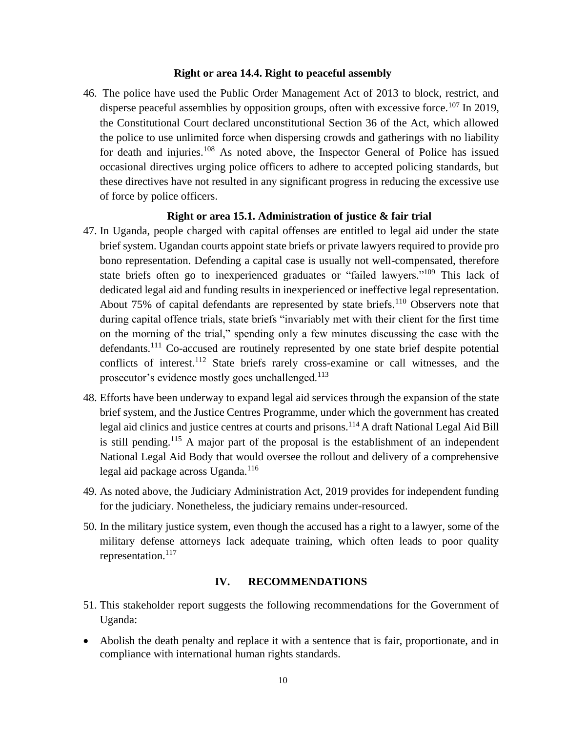#### **Right or area 14.4. Right to peaceful assembly**

46. The police have used the Public Order Management Act of 2013 to block, restrict, and disperse peaceful assemblies by opposition groups, often with excessive force.<sup>107</sup> In 2019, the Constitutional Court declared unconstitutional Section 36 of the Act, which allowed the police to use unlimited force when dispersing crowds and gatherings with no liability for death and injuries.<sup>108</sup> As noted above, the Inspector General of Police has issued occasional directives urging police officers to adhere to accepted policing standards, but these directives have not resulted in any significant progress in reducing the excessive use of force by police officers.

### **Right or area 15.1. Administration of justice & fair trial**

- 47. In Uganda, people charged with capital offenses are entitled to legal aid under the state brief system. Ugandan courts appoint state briefs or private lawyers required to provide pro bono representation. Defending a capital case is usually not well-compensated, therefore state briefs often go to inexperienced graduates or "failed lawyers."<sup>109</sup> This lack of dedicated legal aid and funding results in inexperienced or ineffective legal representation. About  $75\%$  of capital defendants are represented by state briefs.<sup>110</sup> Observers note that during capital offence trials, state briefs "invariably met with their client for the first time on the morning of the trial," spending only a few minutes discussing the case with the defendants.<sup>111</sup> Co-accused are routinely represented by one state brief despite potential conflicts of interest.<sup>112</sup> State briefs rarely cross-examine or call witnesses, and the prosecutor's evidence mostly goes unchallenged.<sup>113</sup>
- 48. Efforts have been underway to expand legal aid services through the expansion of the state brief system, and the Justice Centres Programme, under which the government has created legal aid clinics and justice centres at courts and prisons.<sup>114</sup> A draft National Legal Aid Bill is still pending.<sup>115</sup> A major part of the proposal is the establishment of an independent National Legal Aid Body that would oversee the rollout and delivery of a comprehensive legal aid package across Uganda. $116$
- 49. As noted above, the Judiciary Administration Act, 2019 provides for independent funding for the judiciary. Nonetheless, the judiciary remains under-resourced.
- 50. In the military justice system, even though the accused has a right to a lawyer, some of the military defense attorneys lack adequate training, which often leads to poor quality representation.<sup>117</sup>

### **IV. RECOMMENDATIONS**

- 51. This stakeholder report suggests the following recommendations for the Government of Uganda:
- Abolish the death penalty and replace it with a sentence that is fair, proportionate, and in compliance with international human rights standards.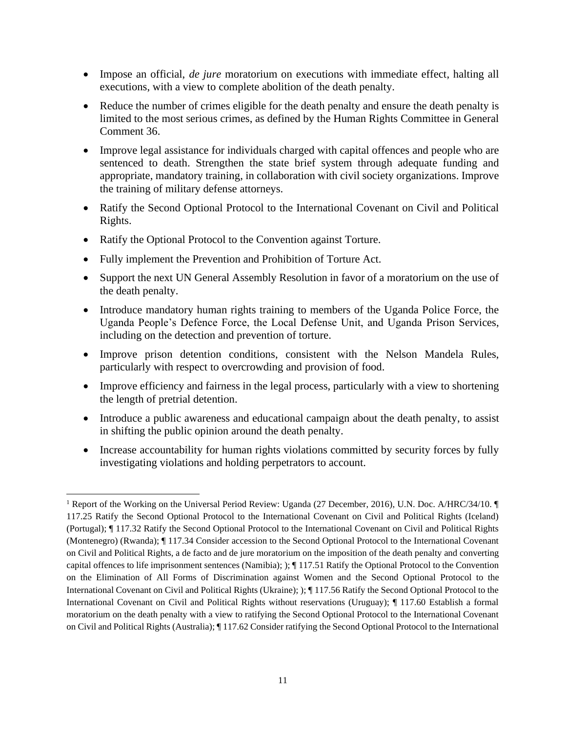- Impose an official, *de jure* moratorium on executions with immediate effect, halting all executions, with a view to complete abolition of the death penalty.
- Reduce the number of crimes eligible for the death penalty and ensure the death penalty is limited to the most serious crimes, as defined by the Human Rights Committee in General Comment 36.
- Improve legal assistance for individuals charged with capital offences and people who are sentenced to death. Strengthen the state brief system through adequate funding and appropriate, mandatory training, in collaboration with civil society organizations. Improve the training of military defense attorneys.
- Ratify the Second Optional Protocol to the International Covenant on Civil and Political Rights.
- Ratify the Optional Protocol to the Convention against Torture.
- Fully implement the Prevention and Prohibition of Torture Act.
- Support the next UN General Assembly Resolution in favor of a moratorium on the use of the death penalty.
- Introduce mandatory human rights training to members of the Uganda Police Force, the Uganda People's Defence Force, the Local Defense Unit, and Uganda Prison Services, including on the detection and prevention of torture.
- Improve prison detention conditions, consistent with the Nelson Mandela Rules, particularly with respect to overcrowding and provision of food.
- Improve efficiency and fairness in the legal process, particularly with a view to shortening the length of pretrial detention.
- Introduce a public awareness and educational campaign about the death penalty, to assist in shifting the public opinion around the death penalty.
- Increase accountability for human rights violations committed by security forces by fully investigating violations and holding perpetrators to account.

<sup>&</sup>lt;sup>1</sup> Report of the Working on the Universal Period Review: Uganda (27 December, 2016), U.N. Doc. A/HRC/34/10. 117.25 Ratify the Second Optional Protocol to the International Covenant on Civil and Political Rights (Iceland) (Portugal); ¶ 117.32 Ratify the Second Optional Protocol to the International Covenant on Civil and Political Rights (Montenegro) (Rwanda); ¶ 117.34 Consider accession to the Second Optional Protocol to the International Covenant on Civil and Political Rights, a de facto and de jure moratorium on the imposition of the death penalty and converting capital offences to life imprisonment sentences (Namibia); ); ¶ 117.51 Ratify the Optional Protocol to the Convention on the Elimination of All Forms of Discrimination against Women and the Second Optional Protocol to the International Covenant on Civil and Political Rights (Ukraine); );  $\P$  117.56 Ratify the Second Optional Protocol to the International Covenant on Civil and Political Rights without reservations (Uruguay); ¶ 117.60 Establish a formal moratorium on the death penalty with a view to ratifying the Second Optional Protocol to the International Covenant on Civil and Political Rights (Australia); ¶ 117.62 Consider ratifying the Second Optional Protocol to the International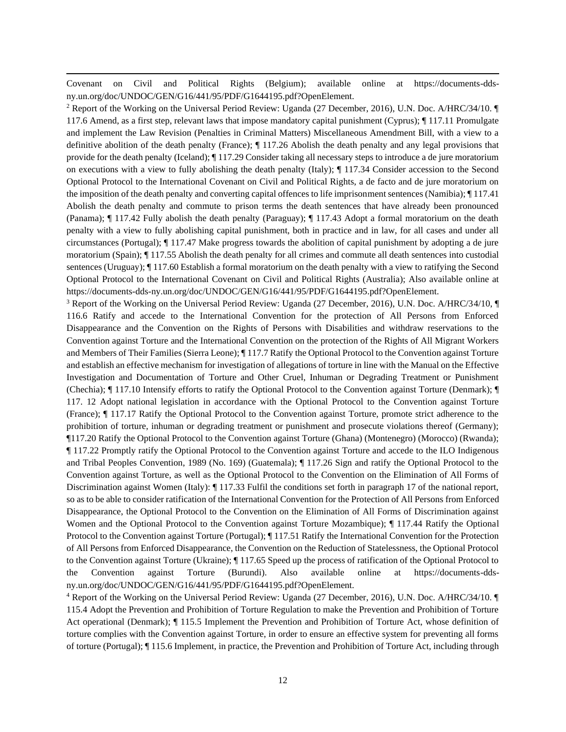Covenant on Civil and Political Rights (Belgium); available online at https://documents-ddsny.un.org/doc/UNDOC/GEN/G16/441/95/PDF/G1644195.pdf?OpenElement.

<sup>2</sup> Report of the Working on the Universal Period Review: Uganda (27 December, 2016), U.N. Doc. A/HRC/34/10. ¶ 117.6 Amend, as a first step, relevant laws that impose mandatory capital punishment (Cyprus); ¶ 117.11 Promulgate and implement the Law Revision (Penalties in Criminal Matters) Miscellaneous Amendment Bill, with a view to a definitive abolition of the death penalty (France); ¶ 117.26 Abolish the death penalty and any legal provisions that provide for the death penalty (Iceland); ¶ 117.29 Consider taking all necessary steps to introduce a de jure moratorium on executions with a view to fully abolishing the death penalty (Italy); ¶ 117.34 Consider accession to the Second Optional Protocol to the International Covenant on Civil and Political Rights, a de facto and de jure moratorium on the imposition of the death penalty and converting capital offences to life imprisonment sentences (Namibia); ¶ 117.41 Abolish the death penalty and commute to prison terms the death sentences that have already been pronounced (Panama); ¶ 117.42 Fully abolish the death penalty (Paraguay); ¶ 117.43 Adopt a formal moratorium on the death penalty with a view to fully abolishing capital punishment, both in practice and in law, for all cases and under all circumstances (Portugal); ¶ 117.47 Make progress towards the abolition of capital punishment by adopting a de jure moratorium (Spain);  $\P$  117.55 Abolish the death penalty for all crimes and commute all death sentences into custodial sentences (Uruguay); ¶ 117.60 Establish a formal moratorium on the death penalty with a view to ratifying the Second Optional Protocol to the International Covenant on Civil and Political Rights (Australia); Also available online at https://documents-dds-ny.un.org/doc/UNDOC/GEN/G16/441/95/PDF/G1644195.pdf?OpenElement.

<sup>3</sup> Report of the Working on the Universal Period Review: Uganda (27 December, 2016), U.N. Doc. A/HRC/34/10, ¶ 116.6 Ratify and accede to the International Convention for the protection of All Persons from Enforced Disappearance and the Convention on the Rights of Persons with Disabilities and withdraw reservations to the Convention against Torture and the International Convention on the protection of the Rights of All Migrant Workers and Members of Their Families (Sierra Leone); ¶ 117.7 Ratify the Optional Protocol to the Convention against Torture and establish an effective mechanism for investigation of allegations of torture in line with the Manual on the Effective Investigation and Documentation of Torture and Other Cruel, Inhuman or Degrading Treatment or Punishment (Chechia); ¶ 117.10 Intensify efforts to ratify the Optional Protocol to the Convention against Torture (Denmark); ¶ 117. 12 Adopt national legislation in accordance with the Optional Protocol to the Convention against Torture (France); ¶ 117.17 Ratify the Optional Protocol to the Convention against Torture, promote strict adherence to the prohibition of torture, inhuman or degrading treatment or punishment and prosecute violations thereof (Germany); ¶117.20 Ratify the Optional Protocol to the Convention against Torture (Ghana) (Montenegro) (Morocco) (Rwanda); ¶ 117.22 Promptly ratify the Optional Protocol to the Convention against Torture and accede to the ILO Indigenous and Tribal Peoples Convention, 1989 (No. 169) (Guatemala); ¶ 117.26 Sign and ratify the Optional Protocol to the Convention against Torture, as well as the Optional Protocol to the Convention on the Elimination of All Forms of Discrimination against Women (Italy):  $\P$  117.33 Fulfil the conditions set forth in paragraph 17 of the national report, so as to be able to consider ratification of the International Convention for the Protection of All Persons from Enforced Disappearance, the Optional Protocol to the Convention on the Elimination of All Forms of Discrimination against Women and the Optional Protocol to the Convention against Torture Mozambique); ¶ 117.44 Ratify the Optional Protocol to the Convention against Torture (Portugal); ¶ 117.51 Ratify the International Convention for the Protection of All Persons from Enforced Disappearance, the Convention on the Reduction of Statelessness, the Optional Protocol to the Convention against Torture (Ukraine); ¶ 117.65 Speed up the process of ratification of the Optional Protocol to the Convention against Torture (Burundi). Also available online at https://documents-ddsny.un.org/doc/UNDOC/GEN/G16/441/95/PDF/G1644195.pdf?OpenElement.

<sup>4</sup> Report of the Working on the Universal Period Review: Uganda (27 December, 2016), U.N. Doc. A/HRC/34/10. ¶ 115.4 Adopt the Prevention and Prohibition of Torture Regulation to make the Prevention and Prohibition of Torture Act operational (Denmark); ¶ 115.5 Implement the Prevention and Prohibition of Torture Act, whose definition of torture complies with the Convention against Torture, in order to ensure an effective system for preventing all forms of torture (Portugal); ¶ 115.6 Implement, in practice, the Prevention and Prohibition of Torture Act, including through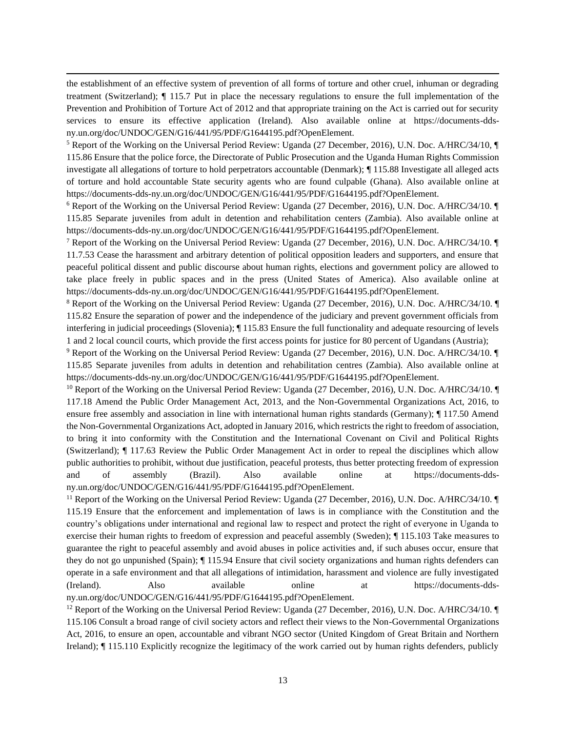the establishment of an effective system of prevention of all forms of torture and other cruel, inhuman or degrading treatment (Switzerland); ¶ 115.7 Put in place the necessary regulations to ensure the full implementation of the Prevention and Prohibition of Torture Act of 2012 and that appropriate training on the Act is carried out for security services to ensure its effective application (Ireland). Also available online at https://documents-ddsny.un.org/doc/UNDOC/GEN/G16/441/95/PDF/G1644195.pdf?OpenElement.

<sup>5</sup> Report of the Working on the Universal Period Review: Uganda (27 December, 2016), U.N. Doc. A/HRC/34/10, ¶ 115.86 Ensure that the police force, the Directorate of Public Prosecution and the Uganda Human Rights Commission investigate all allegations of torture to hold perpetrators accountable (Denmark); ¶ 115.88 Investigate all alleged acts of torture and hold accountable State security agents who are found culpable (Ghana). Also available online at https://documents-dds-ny.un.org/doc/UNDOC/GEN/G16/441/95/PDF/G1644195.pdf?OpenElement.

<sup>6</sup> Report of the Working on the Universal Period Review: Uganda (27 December, 2016), U.N. Doc. A/HRC/34/10. ¶ 115.85 Separate juveniles from adult in detention and rehabilitation centers (Zambia). Also available online at https://documents-dds-ny.un.org/doc/UNDOC/GEN/G16/441/95/PDF/G1644195.pdf?OpenElement.

<sup>7</sup> Report of the Working on the Universal Period Review: Uganda (27 December, 2016), U.N. Doc. A/HRC/34/10. ¶ 11.7.53 Cease the harassment and arbitrary detention of political opposition leaders and supporters, and ensure that peaceful political dissent and public discourse about human rights, elections and government policy are allowed to take place freely in public spaces and in the press (United States of America). Also available online at https://documents-dds-ny.un.org/doc/UNDOC/GEN/G16/441/95/PDF/G1644195.pdf?OpenElement.

<sup>8</sup> Report of the Working on the Universal Period Review: Uganda (27 December, 2016), U.N. Doc. A/HRC/34/10. ¶ 115.82 Ensure the separation of power and the independence of the judiciary and prevent government officials from interfering in judicial proceedings (Slovenia); ¶ 115.83 Ensure the full functionality and adequate resourcing of levels 1 and 2 local council courts, which provide the first access points for justice for 80 percent of Ugandans (Austria);

<sup>9</sup> Report of the Working on the Universal Period Review: Uganda (27 December, 2016), U.N. Doc. A/HRC/34/10. ¶ 115.85 Separate juveniles from adults in detention and rehabilitation centres (Zambia). Also available online at https://documents-dds-ny.un.org/doc/UNDOC/GEN/G16/441/95/PDF/G1644195.pdf?OpenElement.

<sup>10</sup> Report of the Working on the Universal Period Review: Uganda (27 December, 2016), U.N. Doc. A/HRC/34/10. 117.18 Amend the Public Order Management Act, 2013, and the Non-Governmental Organizations Act, 2016, to ensure free assembly and association in line with international human rights standards (Germany); ¶ 117.50 Amend the Non-Governmental Organizations Act, adopted in January 2016, which restricts the right to freedom of association, to bring it into conformity with the Constitution and the International Covenant on Civil and Political Rights (Switzerland); ¶ 117.63 Review the Public Order Management Act in order to repeal the disciplines which allow public authorities to prohibit, without due justification, peaceful protests, thus better protecting freedom of expression and of assembly (Brazil). Also available online at https://documents-ddsny.un.org/doc/UNDOC/GEN/G16/441/95/PDF/G1644195.pdf?OpenElement.

<sup>11</sup> Report of the Working on the Universal Period Review: Uganda (27 December, 2016), U.N. Doc. A/HRC/34/10. 115.19 Ensure that the enforcement and implementation of laws is in compliance with the Constitution and the country's obligations under international and regional law to respect and protect the right of everyone in Uganda to exercise their human rights to freedom of expression and peaceful assembly (Sweden); ¶ 115.103 Take measures to guarantee the right to peaceful assembly and avoid abuses in police activities and, if such abuses occur, ensure that they do not go unpunished (Spain); ¶ 115.94 Ensure that civil society organizations and human rights defenders can operate in a safe environment and that all allegations of intimidation, harassment and violence are fully investigated (Ireland). Also available online at https://documents-ddsny.un.org/doc/UNDOC/GEN/G16/441/95/PDF/G1644195.pdf?OpenElement.

<sup>12</sup> Report of the Working on the Universal Period Review: Uganda (27 December, 2016), U.N. Doc. A/HRC/34/10. 115.106 Consult a broad range of civil society actors and reflect their views to the Non-Governmental Organizations Act, 2016, to ensure an open, accountable and vibrant NGO sector (United Kingdom of Great Britain and Northern Ireland); ¶ 115.110 Explicitly recognize the legitimacy of the work carried out by human rights defenders, publicly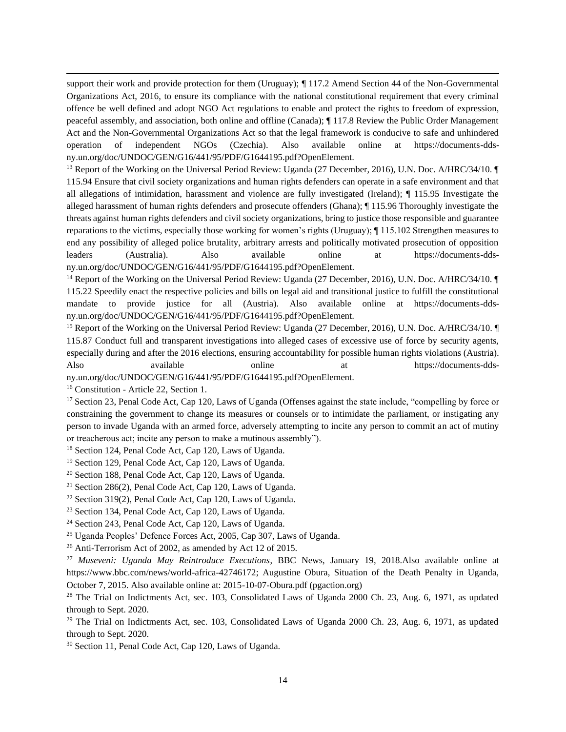support their work and provide protection for them (Uruguay);  $\P$  117.2 Amend Section 44 of the Non-Governmental Organizations Act, 2016, to ensure its compliance with the national constitutional requirement that every criminal offence be well defined and adopt NGO Act regulations to enable and protect the rights to freedom of expression, peaceful assembly, and association, both online and offline (Canada); ¶ 117.8 Review the Public Order Management Act and the Non-Governmental Organizations Act so that the legal framework is conducive to safe and unhindered operation of independent NGOs (Czechia). Also available online at https://documents-ddsny.un.org/doc/UNDOC/GEN/G16/441/95/PDF/G1644195.pdf?OpenElement.

<sup>13</sup> Report of the Working on the Universal Period Review: Uganda (27 December, 2016), U.N. Doc. A/HRC/34/10. 115.94 Ensure that civil society organizations and human rights defenders can operate in a safe environment and that all allegations of intimidation, harassment and violence are fully investigated (Ireland); ¶ 115.95 Investigate the alleged harassment of human rights defenders and prosecute offenders (Ghana); ¶ 115.96 Thoroughly investigate the threats against human rights defenders and civil society organizations, bring to justice those responsible and guarantee reparations to the victims, especially those working for women's rights (Uruguay); ¶ 115.102 Strengthen measures to end any possibility of alleged police brutality, arbitrary arrests and politically motivated prosecution of opposition leaders (Australia). Also available online at https://documents-ddsny.un.org/doc/UNDOC/GEN/G16/441/95/PDF/G1644195.pdf?OpenElement.

<sup>14</sup> Report of the Working on the Universal Period Review: Uganda (27 December, 2016), U.N. Doc. A/HRC/34/10. 115.22 Speedily enact the respective policies and bills on legal aid and transitional justice to fulfill the constitutional mandate to provide justice for all (Austria). Also available online at https://documents-ddsny.un.org/doc/UNDOC/GEN/G16/441/95/PDF/G1644195.pdf?OpenElement.

<sup>15</sup> Report of the Working on the Universal Period Review: Uganda (27 December, 2016), U.N. Doc. A/HRC/34/10. 115.87 Conduct full and transparent investigations into alleged cases of excessive use of force by security agents, especially during and after the 2016 elections, ensuring accountability for possible human rights violations (Austria). Also available online at https://documents-dds-

ny.un.org/doc/UNDOC/GEN/G16/441/95/PDF/G1644195.pdf?OpenElement.

<sup>16</sup> Constitution - Article 22, Section 1.

<sup>17</sup> Section 23, Penal Code Act, Cap 120, Laws of Uganda (Offenses against the state include, "compelling by force or constraining the government to change its measures or counsels or to intimidate the parliament, or instigating any person to invade Uganda with an armed force, adversely attempting to incite any person to commit an act of mutiny or treacherous act; incite any person to make a mutinous assembly").

<sup>18</sup> Section 124, Penal Code Act, Cap 120, Laws of Uganda.

<sup>19</sup> Section 129, Penal Code Act, Cap 120, Laws of Uganda.

<sup>20</sup> Section 188, Penal Code Act, Cap 120, Laws of Uganda.

- <sup>21</sup> Section 286(2), Penal Code Act, Cap 120, Laws of Uganda.
- <sup>22</sup> Section 319(2), Penal Code Act, Cap 120, Laws of Uganda.
- <sup>23</sup> Section 134, Penal Code Act, Cap 120, Laws of Uganda.
- <sup>24</sup> Section 243, Penal Code Act, Cap 120, Laws of Uganda.

<sup>25</sup> Uganda Peoples' Defence Forces Act, 2005, Cap 307, Laws of Uganda.

<sup>26</sup> Anti-Terrorism Act of 2002, as amended by Act 12 of 2015.

<sup>27</sup> *Museveni: Uganda May Reintroduce Executions*, BBC News, January 19, 2018.Also available online at https://www.bbc.com/news/world-africa-42746172; Augustine Obura, Situation of the Death Penalty in Uganda, October 7, 2015. Also available online at: 2015-10-07-Obura.pdf (pgaction.org)

<sup>28</sup> The Trial on Indictments Act, sec. 103, Consolidated Laws of Uganda 2000 Ch. 23, Aug. 6, 1971, as updated through to Sept. 2020.

 $^{29}$  The Trial on Indictments Act, sec. 103, Consolidated Laws of Uganda 2000 Ch. 23, Aug. 6, 1971, as updated through to Sept. 2020.

<sup>30</sup> Section 11, Penal Code Act, Cap 120, Laws of Uganda.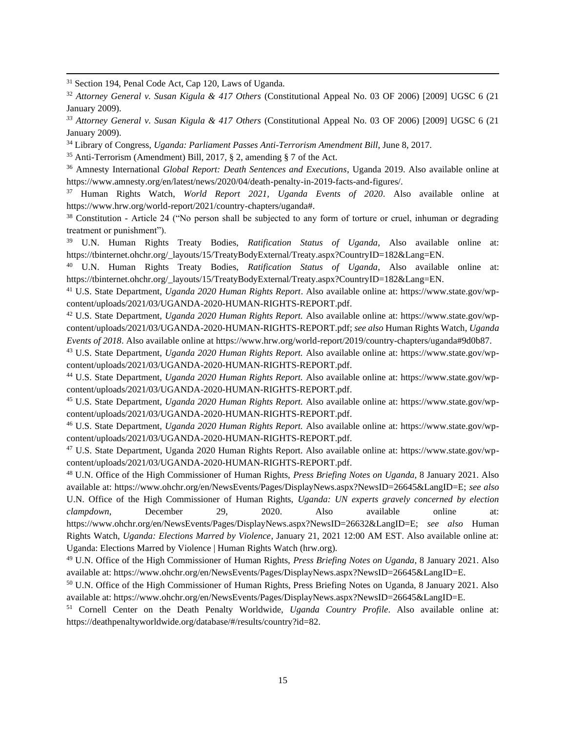<sup>31</sup> Section 194, Penal Code Act, Cap 120, Laws of Uganda.

<sup>34</sup> Library of Congress, *Uganda: Parliament Passes Anti-Terrorism Amendment Bill*, June 8, 2017.

<sup>35</sup> Anti-Terrorism (Amendment) Bill, 2017, § 2, amending § 7 of the Act.

<sup>36</sup> Amnesty International *Global Report: Death Sentences and Executions*, Uganda 2019. Also available online at https://www.amnesty.org/en/latest/news/2020/04/death-penalty-in-2019-facts-and-figures/.

<sup>37</sup> Human Rights Watch, *World Report 2021, Uganda Events of 2020*. Also available online at https://www.hrw.org/world-report/2021/country-chapters/uganda#.

<sup>38</sup> Constitution - Article 24 ("No person shall be subjected to any form of torture or cruel, inhuman or degrading treatment or punishment").

<sup>39</sup> U.N. Human Rights Treaty Bodies, *Ratification Status of Uganda*, Also available online at: https://tbinternet.ohchr.org/\_layouts/15/TreatyBodyExternal/Treaty.aspx?CountryID=182&Lang=EN.

<sup>40</sup> U.N. Human Rights Treaty Bodies, *Ratification Status of Uganda*, Also available online at: https://tbinternet.ohchr.org/\_layouts/15/TreatyBodyExternal/Treaty.aspx?CountryID=182&Lang=EN.

<sup>41</sup> U.S. State Department, *Uganda 2020 Human Rights Report*. Also available online at: https://www.state.gov/wpcontent/uploads/2021/03/UGANDA-2020-HUMAN-RIGHTS-REPORT.pdf.

<sup>42</sup> U.S. State Department, *Uganda 2020 Human Rights Report.* Also available online at: https://www.state.gov/wpcontent/uploads/2021/03/UGANDA-2020-HUMAN-RIGHTS-REPORT.pdf; *see also* Human Rights Watch, *Uganda Events of 2018*. Also available online at https://www.hrw.org/world-report/2019/country-chapters/uganda#9d0b87.

<sup>43</sup> U.S. State Department, *Uganda 2020 Human Rights Report.* Also available online at: https://www.state.gov/wpcontent/uploads/2021/03/UGANDA-2020-HUMAN-RIGHTS-REPORT.pdf.

<sup>44</sup> U.S. State Department, *Uganda 2020 Human Rights Report.* Also available online at: https://www.state.gov/wpcontent/uploads/2021/03/UGANDA-2020-HUMAN-RIGHTS-REPORT.pdf.

<sup>45</sup> U.S. State Department, *Uganda 2020 Human Rights Report.* Also available online at: https://www.state.gov/wpcontent/uploads/2021/03/UGANDA-2020-HUMAN-RIGHTS-REPORT.pdf.

<sup>46</sup> U.S. State Department, *Uganda 2020 Human Rights Report.* Also available online at: https://www.state.gov/wpcontent/uploads/2021/03/UGANDA-2020-HUMAN-RIGHTS-REPORT.pdf.

<sup>47</sup> U.S. State Department, Uganda 2020 Human Rights Report. Also available online at: https://www.state.gov/wpcontent/uploads/2021/03/UGANDA-2020-HUMAN-RIGHTS-REPORT.pdf.

<sup>48</sup> U.N. Office of the High Commissioner of Human Rights, *Press Briefing Notes on Uganda*, 8 January 2021. Also available at: https://www.ohchr.org/en/NewsEvents/Pages/DisplayNews.aspx?NewsID=26645&LangID=E; *see also* U.N. Office of the High Commissioner of Human Rights, *Uganda: UN experts gravely concerned by election clampdown*, December 29, 2020. Also available online at: https://www.ohchr.org/en/NewsEvents/Pages/DisplayNews.aspx?NewsID=26632&LangID=E; *see also* Human Rights Watch, *Uganda: Elections Marred by Violence*, January 21, 2021 12:00 AM EST. Also available online at: Uganda: Elections Marred by Violence | Human Rights Watch (hrw.org).

<sup>49</sup> U.N. Office of the High Commissioner of Human Rights, *Press Briefing Notes on Uganda*, 8 January 2021. Also available at: https://www.ohchr.org/en/NewsEvents/Pages/DisplayNews.aspx?NewsID=26645&LangID=E.

<sup>50</sup> U.N. Office of the High Commissioner of Human Rights, Press Briefing Notes on Uganda, 8 January 2021. Also available at: https://www.ohchr.org/en/NewsEvents/Pages/DisplayNews.aspx?NewsID=26645&LangID=E.

<sup>51</sup> Cornell Center on the Death Penalty Worldwide, *Uganda Country Profile*. Also available online at: https://deathpenaltyworldwide.org/database/#/results/country?id=82.

<sup>32</sup> *Attorney General v. Susan Kigula & 417 Others* (Constitutional Appeal No. 03 OF 2006) [2009] UGSC 6 (21 January 2009).

*<sup>33</sup> Attorney General v. Susan Kigula & 417 Others* (Constitutional Appeal No. 03 OF 2006) [2009] UGSC 6 (21 January 2009).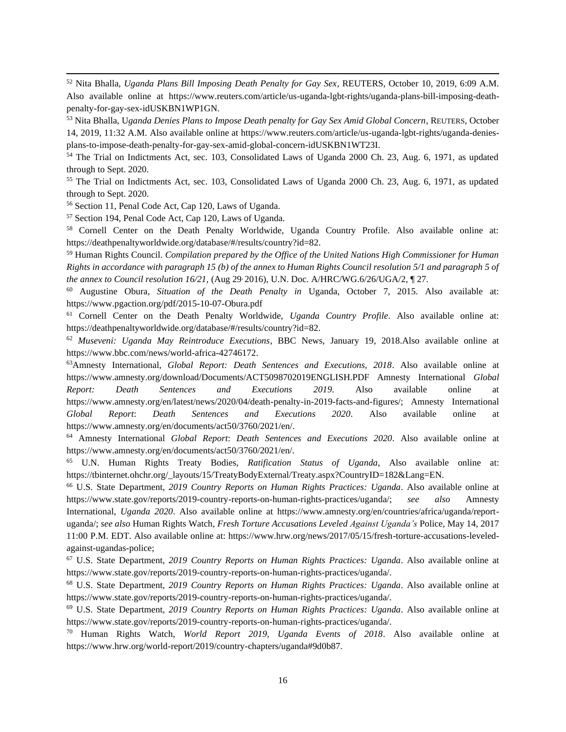<sup>52</sup> Nita Bhalla, *Uganda Plans Bill Imposing Death Penalty for Gay Sex*, REUTERS, October 10, 2019, 6:09 A.M. Also available online at https://www.reuters.com/article/us-uganda-lgbt-rights/uganda-plans-bill-imposing-deathpenalty-for-gay-sex-idUSKBN1WP1GN.

<sup>53</sup> Nita Bhalla, U*ganda Denies Plans to Impose Death penalty for Gay Sex Amid Global Concern*, REUTERS, October 14, 2019, 11:32 A.M. Also available online at https://www.reuters.com/article/us-uganda-lgbt-rights/uganda-deniesplans-to-impose-death-penalty-for-gay-sex-amid-global-concern-idUSKBN1WT23I.

<sup>54</sup> The Trial on Indictments Act, sec. 103, Consolidated Laws of Uganda 2000 Ch. 23, Aug. 6, 1971, as updated through to Sept. 2020.

<sup>55</sup> The Trial on Indictments Act, sec. 103, Consolidated Laws of Uganda 2000 Ch. 23, Aug. 6, 1971, as updated through to Sept. 2020.

<sup>56</sup> Section 11, Penal Code Act, Cap 120, Laws of Uganda.

<sup>57</sup> Section 194, Penal Code Act, Cap 120, Laws of Uganda.

<sup>58</sup> Cornell Center on the Death Penalty Worldwide, Uganda Country Profile. Also available online at: https://deathpenaltyworldwide.org/database/#/results/country?id=82.

<sup>59</sup> Human Rights Council. *Compilation prepared by the Office of the United Nations High Commissioner for Human Rights in accordance with paragraph 15 (b) of the annex to Human Rights Council resolution 5/1 and paragraph 5 of the annex to Council resolution 16/21,* (Aug 29, 2016), U.N. Doc. A/HRC/WG.6/26/UGA/2, ¶ 27.

<sup>60</sup> Augustine Obura, *Situation of the Death Penalty in* Uganda, October 7, 2015. Also available at: https://www.pgaction.org/pdf/2015-10-07-Obura.pdf

<sup>61</sup> Cornell Center on the Death Penalty Worldwide, *Uganda Country Profile*. Also available online at: https://deathpenaltyworldwide.org/database/#/results/country?id=82.

<sup>62</sup> *Museveni: Uganda May Reintroduce Executions*, BBC News, January 19, 2018.Also available online at https://www.bbc.com/news/world-africa-42746172.

<sup>63</sup>Amnesty International, *Global Report: Death Sentences and Executions, 2018*. Also available online at https://www.amnesty.org/download/Documents/ACT5098702019ENGLISH.PDF Amnesty International *Global Report: Death Sentences and Executions 2019*. Also available online at https://www.amnesty.org/en/latest/news/2020/04/death-penalty-in-2019-facts-and-figures/; Amnesty International *Global Report*: *Death Sentences and Executions 2020*. Also available online at https://www.amnesty.org/en/documents/act50/3760/2021/en/.

<sup>64</sup> Amnesty International *Global Report*: *Death Sentences and Executions 2020*. Also available online at https://www.amnesty.org/en/documents/act50/3760/2021/en/.

<sup>65</sup> U.N. Human Rights Treaty Bodies, *Ratification Status of Uganda*, Also available online at: https://tbinternet.ohchr.org/\_layouts/15/TreatyBodyExternal/Treaty.aspx?CountryID=182&Lang=EN.

<sup>66</sup> U.S. State Department, *2019 Country Reports on Human Rights Practices: Uganda*. Also available online at https://www.state.gov/reports/2019-country-reports-on-human-rights-practices/uganda/; *see also* Amnesty International, *Uganda 2020*. Also available online at https://www.amnesty.org/en/countries/africa/uganda/reportuganda/; *see also* Human Rights Watch, *Fresh Torture Accusations Leveled Against Uganda's* Police, May 14, 2017 11:00 P.M. EDT. Also available online at: https://www.hrw.org/news/2017/05/15/fresh-torture-accusations-leveledagainst-ugandas-police;

<sup>67</sup> U.S. State Department, *2019 Country Reports on Human Rights Practices: Uganda*. Also available online at https://www.state.gov/reports/2019-country-reports-on-human-rights-practices/uganda/.

<sup>68</sup> U.S. State Department, *2019 Country Reports on Human Rights Practices: Uganda*. Also available online at https://www.state.gov/reports/2019-country-reports-on-human-rights-practices/uganda/.

<sup>69</sup> U.S. State Department, *2019 Country Reports on Human Rights Practices: Uganda*. Also available online at https://www.state.gov/reports/2019-country-reports-on-human-rights-practices/uganda/.

<sup>70</sup> Human Rights Watch, *World Report 2019, Uganda Events of 2018*. Also available online at https://www.hrw.org/world-report/2019/country-chapters/uganda#9d0b87.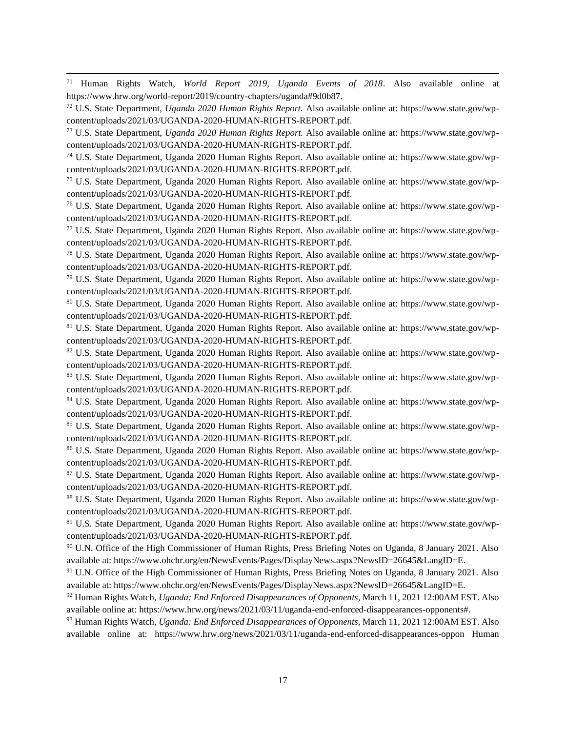<sup>71</sup> Human Rights Watch, *World Report 2019, Uganda Events of 2018*. Also available online at https://www.hrw.org/world-report/2019/country-chapters/uganda#9d0b87.

<sup>72</sup> U.S. State Department, *Uganda 2020 Human Rights Report.* Also available online at: https://www.state.gov/wpcontent/uploads/2021/03/UGANDA-2020-HUMAN-RIGHTS-REPORT.pdf.

<sup>73</sup> U.S. State Department, *Uganda 2020 Human Rights Report.* Also available online at: https://www.state.gov/wpcontent/uploads/2021/03/UGANDA-2020-HUMAN-RIGHTS-REPORT.pdf.

<sup>74</sup> U.S. State Department, Uganda 2020 Human Rights Report. Also available online at: https://www.state.gov/wpcontent/uploads/2021/03/UGANDA-2020-HUMAN-RIGHTS-REPORT.pdf.

<sup>75</sup> U.S. State Department, Uganda 2020 Human Rights Report. Also available online at: https://www.state.gov/wpcontent/uploads/2021/03/UGANDA-2020-HUMAN-RIGHTS-REPORT.pdf.

<sup>76</sup> U.S. State Department, Uganda 2020 Human Rights Report. Also available online at: https://www.state.gov/wpcontent/uploads/2021/03/UGANDA-2020-HUMAN-RIGHTS-REPORT.pdf.

<sup>77</sup> U.S. State Department, Uganda 2020 Human Rights Report. Also available online at: https://www.state.gov/wpcontent/uploads/2021/03/UGANDA-2020-HUMAN-RIGHTS-REPORT.pdf.

<sup>78</sup> U.S. State Department, Uganda 2020 Human Rights Report. Also available online at: https://www.state.gov/wpcontent/uploads/2021/03/UGANDA-2020-HUMAN-RIGHTS-REPORT.pdf.

<sup>79</sup> U.S. State Department, Uganda 2020 Human Rights Report. Also available online at: https://www.state.gov/wpcontent/uploads/2021/03/UGANDA-2020-HUMAN-RIGHTS-REPORT.pdf.

<sup>80</sup> U.S. State Department, Uganda 2020 Human Rights Report. Also available online at: https://www.state.gov/wpcontent/uploads/2021/03/UGANDA-2020-HUMAN-RIGHTS-REPORT.pdf.

<sup>81</sup> U.S. State Department, Uganda 2020 Human Rights Report. Also available online at: https://www.state.gov/wpcontent/uploads/2021/03/UGANDA-2020-HUMAN-RIGHTS-REPORT.pdf.

<sup>82</sup> U.S. State Department, Uganda 2020 Human Rights Report. Also available online at: https://www.state.gov/wpcontent/uploads/2021/03/UGANDA-2020-HUMAN-RIGHTS-REPORT.pdf.

<sup>83</sup> U.S. State Department, Uganda 2020 Human Rights Report. Also available online at: https://www.state.gov/wpcontent/uploads/2021/03/UGANDA-2020-HUMAN-RIGHTS-REPORT.pdf.

<sup>84</sup> U.S. State Department, Uganda 2020 Human Rights Report. Also available online at: https://www.state.gov/wpcontent/uploads/2021/03/UGANDA-2020-HUMAN-RIGHTS-REPORT.pdf.

<sup>85</sup> U.S. State Department, Uganda 2020 Human Rights Report. Also available online at: https://www.state.gov/wpcontent/uploads/2021/03/UGANDA-2020-HUMAN-RIGHTS-REPORT.pdf.

<sup>86</sup> U.S. State Department, Uganda 2020 Human Rights Report. Also available online at: https://www.state.gov/wpcontent/uploads/2021/03/UGANDA-2020-HUMAN-RIGHTS-REPORT.pdf.

<sup>87</sup> U.S. State Department, Uganda 2020 Human Rights Report. Also available online at: https://www.state.gov/wpcontent/uploads/2021/03/UGANDA-2020-HUMAN-RIGHTS-REPORT.pdf.

<sup>88</sup> U.S. State Department, Uganda 2020 Human Rights Report. Also available online at: https://www.state.gov/wpcontent/uploads/2021/03/UGANDA-2020-HUMAN-RIGHTS-REPORT.pdf.

<sup>89</sup> U.S. State Department, Uganda 2020 Human Rights Report. Also available online at: https://www.state.gov/wpcontent/uploads/2021/03/UGANDA-2020-HUMAN-RIGHTS-REPORT.pdf.

<sup>90</sup> U.N. Office of the High Commissioner of Human Rights, Press Briefing Notes on Uganda, 8 January 2021. Also available at: https://www.ohchr.org/en/NewsEvents/Pages/DisplayNews.aspx?NewsID=26645&LangID=E.

<sup>91</sup> U.N. Office of the High Commissioner of Human Rights, Press Briefing Notes on Uganda, 8 January 2021. Also available at: https://www.ohchr.org/en/NewsEvents/Pages/DisplayNews.aspx?NewsID=26645&LangID=E.

<sup>92</sup> Human Rights Watch, *Uganda: End Enforced Disappearances of Opponents*, March 11, 2021 12:00AM EST. Also available online at: https://www.hrw.org/news/2021/03/11/uganda-end-enforced-disappearances-opponents#.

<sup>93</sup> Human Rights Watch, *Uganda: End Enforced Disappearances of Opponents*, March 11, 2021 12:00AM EST. Also available online at: https://www.hrw.org/news/2021/03/11/uganda-end-enforced-disappearances-oppon Human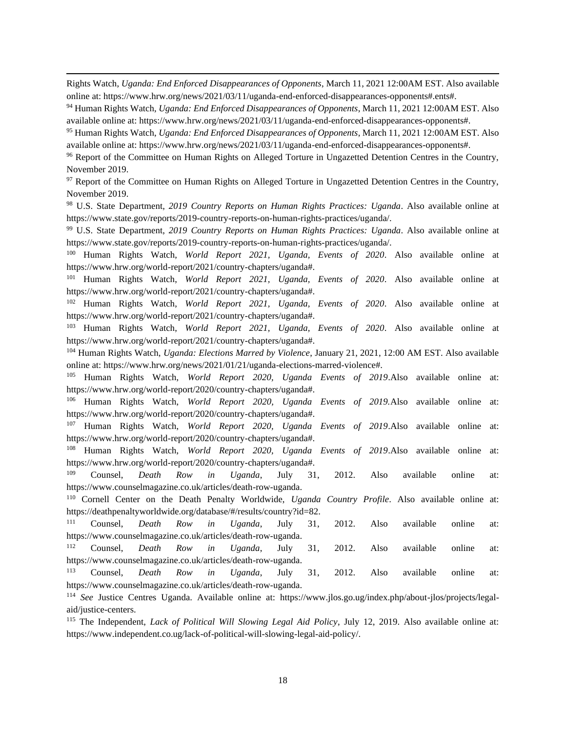Rights Watch, *Uganda: End Enforced Disappearances of Opponents*, March 11, 2021 12:00AM EST. Also available online at: https://www.hrw.org/news/2021/03/11/uganda-end-enforced-disappearances-opponents#.ents#.

<sup>94</sup> Human Rights Watch, *Uganda: End Enforced Disappearances of Opponents*, March 11, 2021 12:00AM EST. Also available online at: https://www.hrw.org/news/2021/03/11/uganda-end-enforced-disappearances-opponents#.

<sup>95</sup> Human Rights Watch, *Uganda: End Enforced Disappearances of Opponents*, March 11, 2021 12:00AM EST. Also available online at: https://www.hrw.org/news/2021/03/11/uganda-end-enforced-disappearances-opponents#.

<sup>96</sup> Report of the Committee on Human Rights on Alleged Torture in Ungazetted Detention Centres in the Country, November 2019.

<sup>97</sup> Report of the Committee on Human Rights on Alleged Torture in Ungazetted Detention Centres in the Country, November 2019.

<sup>98</sup> U.S. State Department, *2019 Country Reports on Human Rights Practices: Uganda*. Also available online at https://www.state.gov/reports/2019-country-reports-on-human-rights-practices/uganda/.

<sup>99</sup> U.S. State Department, *2019 Country Reports on Human Rights Practices: Uganda*. Also available online at https://www.state.gov/reports/2019-country-reports-on-human-rights-practices/uganda/.

<sup>100</sup> Human Rights Watch, *World Report 2021, Uganda, Events of 2020*. Also available online at https://www.hrw.org/world-report/2021/country-chapters/uganda#.

<sup>101</sup> Human Rights Watch, *World Report 2021, Uganda, Events of 2020*. Also available online at https://www.hrw.org/world-report/2021/country-chapters/uganda#.

<sup>102</sup> Human Rights Watch, *World Report 2021, Uganda, Events of 2020*. Also available online at https://www.hrw.org/world-report/2021/country-chapters/uganda#.

<sup>103</sup> Human Rights Watch, *World Report 2021, Uganda, Events of 2020*. Also available online at https://www.hrw.org/world-report/2021/country-chapters/uganda#.

<sup>104</sup> Human Rights Watch, *Uganda: Elections Marred by Violence*, January 21, 2021, 12:00 AM EST. Also available online at: https://www.hrw.org/news/2021/01/21/uganda-elections-marred-violence#.

<sup>105</sup> Human Rights Watch, *World Report 2020, Uganda Events of 2019*.Also available online at: https://www.hrw.org/world-report/2020/country-chapters/uganda#.

<sup>106</sup> Human Rights Watch, *World Report 2020, Uganda Events of 2019.*Also available online at: https://www.hrw.org/world-report/2020/country-chapters/uganda#.

<sup>107</sup> Human Rights Watch, *World Report 2020, Uganda Events of 2019*.Also available online at: https://www.hrw.org/world-report/2020/country-chapters/uganda#.

<sup>108</sup> Human Rights Watch, *World Report 2020, Uganda Events of 2019*.Also available online at: https://www.hrw.org/world-report/2020/country-chapters/uganda#.

<sup>109</sup> Counsel, *Death Row in Uganda*, July 31, 2012. Also available online at: https://www.counselmagazine.co.uk/articles/death-row-uganda.

<sup>110</sup> Cornell Center on the Death Penalty Worldwide, *Uganda Country Profile*. Also available online at: https://deathpenaltyworldwide.org/database/#/results/country?id=82.

<sup>111</sup> Counsel, *Death Row in Uganda*, July 31, 2012. Also available online at: https://www.counselmagazine.co.uk/articles/death-row-uganda.

<sup>112</sup> Counsel, *Death Row in Uganda*, July 31, 2012. Also available online at: https://www.counselmagazine.co.uk/articles/death-row-uganda.

<sup>113</sup> Counsel, *Death Row in Uganda*, July 31, 2012. Also available online at: https://www.counselmagazine.co.uk/articles/death-row-uganda.

<sup>114</sup> *See* Justice Centres Uganda. Available online at: https://www.jlos.go.ug/index.php/about-jlos/projects/legalaid/justice-centers.

<sup>115</sup> The Independent, *Lack of Political Will Slowing Legal Aid Policy*, July 12, 2019. Also available online at: https://www.independent.co.ug/lack-of-political-will-slowing-legal-aid-policy/.